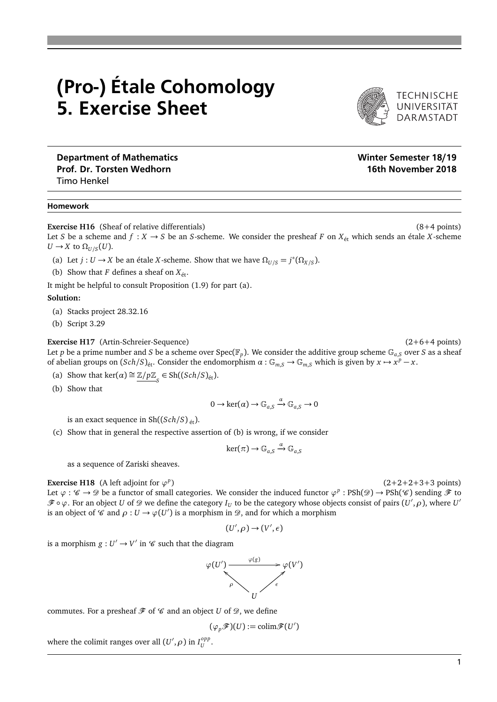## (Pro-) Étale Cohomology 5. Exercise Sheet

TECHNISCHE<br>UNIVERSITÄT<br>DARMSTADT

Department of Mathematics Prof. Dr. Torsten Wedhorn Timo Henkel

## Homework

**Exercise H16** (Sheaf of relative differentials) (8+4 points)

Let *S* be a scheme and  $f : X \to S$  be an *S*-scheme. We consider the presheaf *F* on  $X_{\text{\'et}}$  which sends an étale *X*-scheme *U* → *X* to  $Ω$ <sub>*U*</sub>/*s*(*U*).

(a) Let  $j: U \to X$  be an étale *X*-scheme. Show that we have  $\Omega_{U/S} = j^*(\Omega_{X/S})$ .

(b) Show that *F* defines a sheaf on  $X_{\text{\'et}}$ .

It might be helpful to consult Proposition (1.9) for part (a).

## **Solution:**

- (a) Stacks project 28.32.16
- (b) Script 3.29

**Exercise H17** (Artin-Schreier-Sequence) (2+6+4 points)

Let  $p$  be a prime number and  $S$  be a scheme over  $\text{Spec}(\mathbb{F}_p)$ . We consider the additive group scheme  $\mathbb{G}_{a,S}$  over  $S$  as a sheaf of abelian groups on  $(Sch/S)_{\text{\'et}}$ . Consider the endomorphism  $\alpha : \mathbb{G}_{m,S} \to \mathbb{G}_{m,S}$  which is given

- (a) Show that  $\ker(\alpha) \cong \mathbb{Z}/p\mathbb{Z}_s \in Sh((Sch/S)_{\text{\'et}}).$
- (b) Show that

$$
0 \to \ker(\alpha) \to \mathbb{G}_{a,S} \xrightarrow{\alpha} \mathbb{G}_{a,S} \to 0
$$

is an exact sequence in  $\text{Sh}((\text{Sch}/S)_{\text{\'et}})$ .

(c) Show that in general the respective assertion of (b) is wrong, if we consider

$$
\ker(\pi)\to \mathbb{G}_{a,S}\xrightarrow{\alpha}\mathbb{G}_{a,S}
$$

as a sequence of Zariski sheaves.

**Exercise H18** (A left adjoint for  $\varphi^p$ 

 $(2+2+2+3+3 \text{ points})$ 

Let  $\varphi : \mathscr{C} \to \mathscr{D}$  be a functor of small categories. We consider the induced functor  $\varphi^p : \text{PSh}(\mathscr{D}) \to \text{PSh}(\mathscr{C})$  sending  $\mathscr{F}$  to  $\mathscr{F} \circ \varphi$ . For an object *U* of  $\mathscr{D}$  we define the category  $I_U$  to be the category whose objects consist of pairs  $(U',\rho)$ , where  $U'$ is an object of  $\mathscr C$  and  $\rho: U \to \varphi(U')$  is a morphism in  $\mathscr D$ , and for which a morphism

$$
(U',\rho) \to (V',\epsilon)
$$

is a morphism  $g: U' \to V'$  in  $\mathscr C$  such that the diagram



commutes. For a presheaf  $\mathcal F$  of  $\mathcal C$  and an object *U* of  $\mathcal D$ , we define

 $(\varphi_p \mathscr{F})(U) := \text{colim} \mathscr{F}(U')$ 

where the colimit ranges over all  $(U',\rho)$  in  $I_U^{opp}$ *U* .

$$
x \mapsto x^p - x.
$$